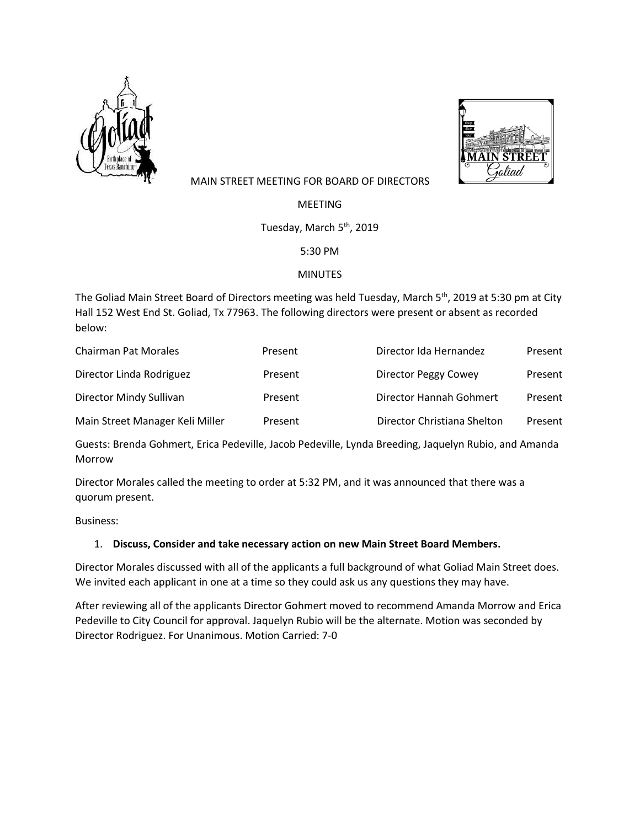



## MAIN STREET MEETING FOR BOARD OF DIRECTORS

MEETING

Tuesday, March 5<sup>th</sup>, 2019

5:30 PM

## MINUTES

The Goliad Main Street Board of Directors meeting was held Tuesday, March 5<sup>th</sup>, 2019 at 5:30 pm at City Hall 152 West End St. Goliad, Tx 77963. The following directors were present or absent as recorded below:

| <b>Chairman Pat Morales</b>     | Present | Director Ida Hernandez      | Present |
|---------------------------------|---------|-----------------------------|---------|
| Director Linda Rodriguez        | Present | Director Peggy Cowey        | Present |
| Director Mindy Sullivan         | Present | Director Hannah Gohmert     | Present |
| Main Street Manager Keli Miller | Present | Director Christiana Shelton | Present |

Guests: Brenda Gohmert, Erica Pedeville, Jacob Pedeville, Lynda Breeding, Jaquelyn Rubio, and Amanda Morrow

Director Morales called the meeting to order at 5:32 PM, and it was announced that there was a quorum present.

Business:

## 1. **Discuss, Consider and take necessary action on new Main Street Board Members.**

Director Morales discussed with all of the applicants a full background of what Goliad Main Street does. We invited each applicant in one at a time so they could ask us any questions they may have.

After reviewing all of the applicants Director Gohmert moved to recommend Amanda Morrow and Erica Pedeville to City Council for approval. Jaquelyn Rubio will be the alternate. Motion was seconded by Director Rodriguez. For Unanimous. Motion Carried: 7-0